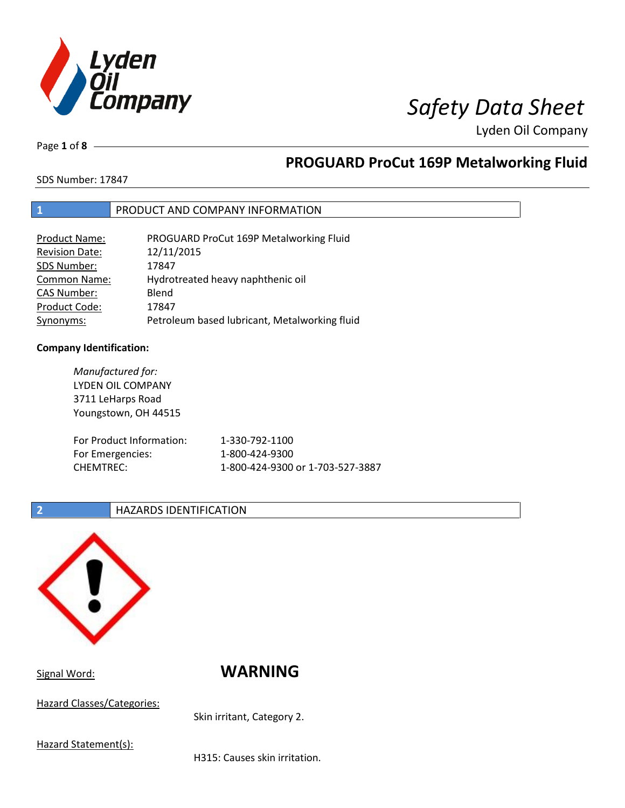

Page **1** of **8**

## **PROGUARD ProCut 169P Metalworking Fluid**

SDS Number: 17847

### **1** PRODUCT AND COMPANY INFORMATION

| <b>Product Name:</b>  | PROGUARD ProCut 169P Metalworking Fluid       |
|-----------------------|-----------------------------------------------|
| <b>Revision Date:</b> | 12/11/2015                                    |
| SDS Number:           | 17847                                         |
| <b>Common Name:</b>   | Hydrotreated heavy naphthenic oil             |
| <b>CAS Number:</b>    | Blend                                         |
| Product Code:         | 17847                                         |
| Synonyms:             | Petroleum based lubricant, Metalworking fluid |

### **Company Identification:**

*Manufactured for:* LYDEN OIL COMPANY 3711 LeHarps Road Youngstown, OH 44515 For Product Information: 1-330-792-1100 For Emergencies: 1-800-424-9300 CHEMTREC: 1-800-424-9300 or 1-703-527-3887

### **2 HAZARDS IDENTIFICATION**



Signal Word: **WARNING**

Hazard Classes/Categories:

Skin irritant, Category 2.

Hazard Statement(s):

H315: Causes skin irritation.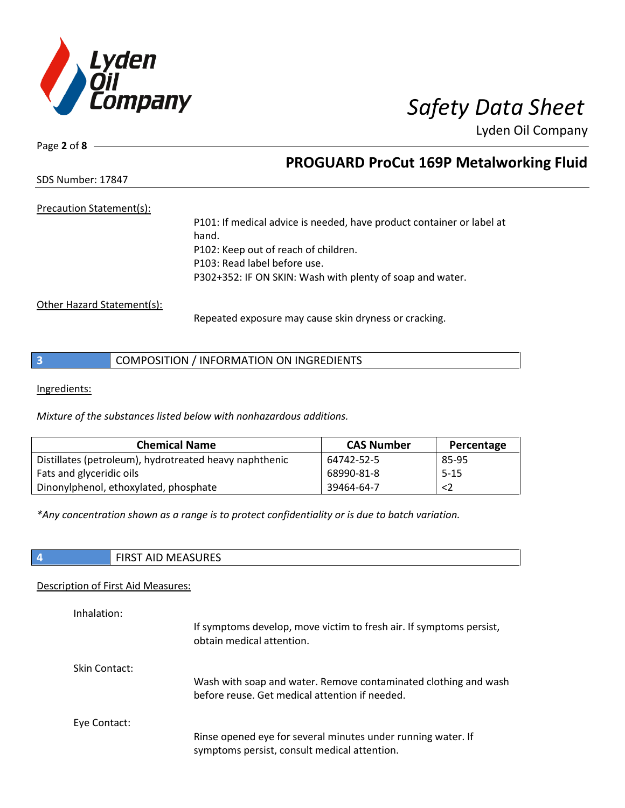

Page **2** of **8**

## **PROGUARD ProCut 169P Metalworking Fluid**

SDS Number: 17847

### Precaution Statement(s):

P101: If medical advice is needed, have product container or label at hand. P102: Keep out of reach of children. P103: Read label before use. P302+352: IF ON SKIN: Wash with plenty of soap and water.

Other Hazard Statement(s):

Repeated exposure may cause skin dryness or cracking.

| COMPOSITION / INFORMATION ON INGREDIENTS |  |
|------------------------------------------|--|
|------------------------------------------|--|

Ingredients:

*Mixture of the substances listed below with nonhazardous additions.*

| <b>Chemical Name</b>                                   | <b>CAS Number</b> | Percentage |
|--------------------------------------------------------|-------------------|------------|
| Distillates (petroleum), hydrotreated heavy naphthenic | 64742-52-5        | 85-95      |
| Fats and glyceridic oils                               | 68990-81-8        | $5-15$     |
| Dinonylphenol, ethoxylated, phosphate                  | 39464-64-7        | <2         |

*\*Any concentration shown as a range is to protect confidentiality or is due to batch variation.*

|  | `NEASURF (<br>$\Lambda$ IF<br>$F: R \rightarrow T$<br>שור<br>כחו־ |
|--|-------------------------------------------------------------------|
|--|-------------------------------------------------------------------|

### Description of First Aid Measures:

| Inhalation:   | If symptoms develop, move victim to fresh air. If symptoms persist,<br>obtain medical attention.                  |
|---------------|-------------------------------------------------------------------------------------------------------------------|
| Skin Contact: | Wash with soap and water. Remove contaminated clothing and wash<br>before reuse. Get medical attention if needed. |
| Eye Contact:  | Rinse opened eye for several minutes under running water. If<br>symptoms persist, consult medical attention.      |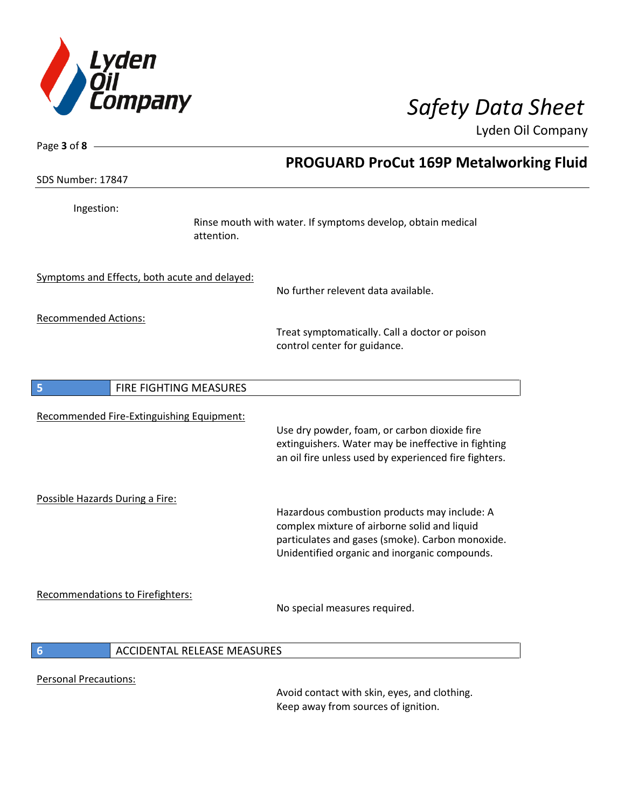

Page **3** of **8**

Lyden Oil Company

| SDS Number: 17847                             | <b>PROGUARD ProCut 169P Metalworking Fluid</b>                                                                                                                                                    |
|-----------------------------------------------|---------------------------------------------------------------------------------------------------------------------------------------------------------------------------------------------------|
| Ingestion:                                    | Rinse mouth with water. If symptoms develop, obtain medical<br>attention.                                                                                                                         |
| Symptoms and Effects, both acute and delayed: | No further relevent data available.                                                                                                                                                               |
| <b>Recommended Actions:</b>                   | Treat symptomatically. Call a doctor or poison<br>control center for guidance.                                                                                                                    |
| FIRE FIGHTING MEASURES<br>5                   |                                                                                                                                                                                                   |
| Recommended Fire-Extinguishing Equipment:     | Use dry powder, foam, or carbon dioxide fire<br>extinguishers. Water may be ineffective in fighting<br>an oil fire unless used by experienced fire fighters.                                      |
| Possible Hazards During a Fire:               | Hazardous combustion products may include: A<br>complex mixture of airborne solid and liquid<br>particulates and gases (smoke). Carbon monoxide.<br>Unidentified organic and inorganic compounds. |
| Recommendations to Firefighters:              | No special measures required.                                                                                                                                                                     |
| 6<br><b>ACCIDENTAL RELEASE MEASURES</b>       |                                                                                                                                                                                                   |
| <b>Personal Precautions:</b>                  | Avoid contact with skin, eyes, and clothing.                                                                                                                                                      |

Keep away from sources of ignition.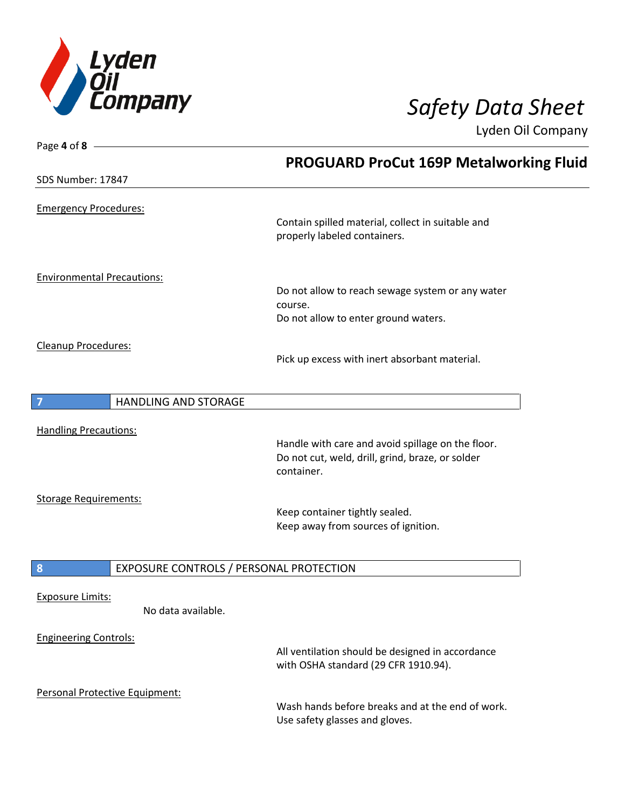

| Page 4 of 8                                   |                                                                                          |
|-----------------------------------------------|------------------------------------------------------------------------------------------|
|                                               | <b>PROGUARD ProCut 169P Metalworking Fluid</b>                                           |
| SDS Number: 17847                             |                                                                                          |
| <b>Emergency Procedures:</b>                  |                                                                                          |
|                                               | Contain spilled material, collect in suitable and<br>properly labeled containers.        |
| <b>Environmental Precautions:</b>             |                                                                                          |
|                                               | Do not allow to reach sewage system or any water                                         |
|                                               | course.                                                                                  |
|                                               | Do not allow to enter ground waters.                                                     |
| Cleanup Procedures:                           |                                                                                          |
|                                               | Pick up excess with inert absorbant material.                                            |
|                                               |                                                                                          |
| $\overline{7}$<br><b>HANDLING AND STORAGE</b> |                                                                                          |
|                                               |                                                                                          |
| <b>Handling Precautions:</b>                  | Handle with care and avoid spillage on the floor.                                        |
|                                               | Do not cut, weld, drill, grind, braze, or solder                                         |
|                                               | container.                                                                               |
| <b>Storage Requirements:</b>                  |                                                                                          |
|                                               | Keep container tightly sealed.                                                           |
|                                               | Keep away from sources of ignition.                                                      |
|                                               |                                                                                          |
| 8<br>EXPOSURE CONTROLS / PERSONAL PROTECTION  |                                                                                          |
|                                               |                                                                                          |
| <b>Exposure Limits:</b><br>No data available. |                                                                                          |
|                                               |                                                                                          |
| <b>Engineering Controls:</b>                  |                                                                                          |
|                                               | All ventilation should be designed in accordance<br>with OSHA standard (29 CFR 1910.94). |
|                                               |                                                                                          |
| Personal Protective Equipment:                |                                                                                          |
|                                               | Wash hands before breaks and at the end of work.                                         |
|                                               | Use safety glasses and gloves.                                                           |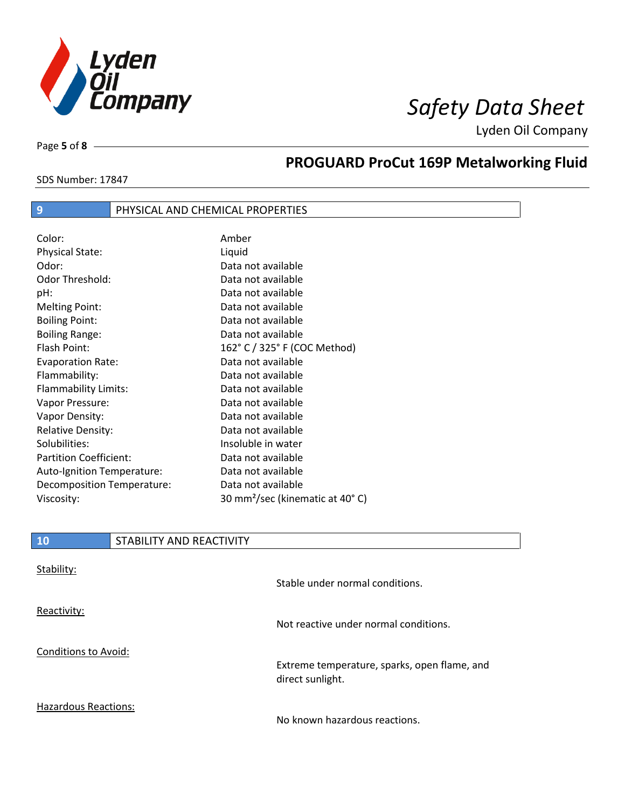

Page **5** of **8**

# **PROGUARD ProCut 169P Metalworking Fluid**

SDS Number: 17847

### **9** PHYSICAL AND CHEMICAL PROPERTIES

| Color:                        | Amber                                       |
|-------------------------------|---------------------------------------------|
| <b>Physical State:</b>        | Liquid                                      |
| Odor:                         | Data not available                          |
| Odor Threshold:               | Data not available                          |
| pH:                           | Data not available                          |
| <b>Melting Point:</b>         | Data not available                          |
| <b>Boiling Point:</b>         | Data not available                          |
| <b>Boiling Range:</b>         | Data not available                          |
| Flash Point:                  | 162° C / 325° F (COC Method)                |
| <b>Evaporation Rate:</b>      | Data not available                          |
| Flammability:                 | Data not available                          |
| Flammability Limits:          | Data not available                          |
| Vapor Pressure:               | Data not available                          |
| Vapor Density:                | Data not available                          |
| <b>Relative Density:</b>      | Data not available                          |
| Solubilities:                 | Insoluble in water                          |
| <b>Partition Coefficient:</b> | Data not available                          |
| Auto-Ignition Temperature:    | Data not available                          |
| Decomposition Temperature:    | Data not available                          |
| Viscosity:                    | 30 mm <sup>2</sup> /sec (kinematic at 40°C) |

| 10                          | STABILITY AND REACTIVITY |                                                                  |
|-----------------------------|--------------------------|------------------------------------------------------------------|
| Stability:                  |                          | Stable under normal conditions.                                  |
| Reactivity:                 |                          | Not reactive under normal conditions.                            |
| <b>Conditions to Avoid:</b> |                          | Extreme temperature, sparks, open flame, and<br>direct sunlight. |
| <b>Hazardous Reactions:</b> |                          | No known hazardous reactions.                                    |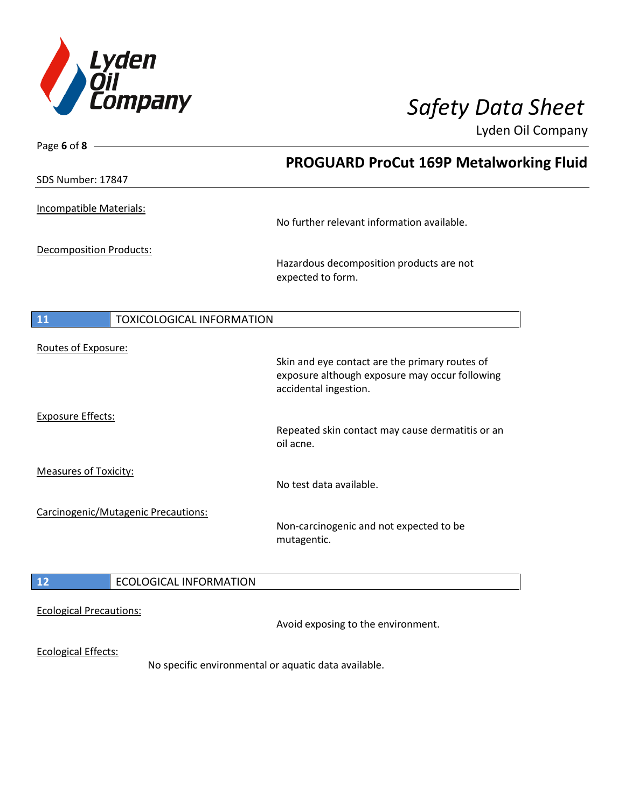

| Page 6 of 8 $-$                               |                                                                                                                           |
|-----------------------------------------------|---------------------------------------------------------------------------------------------------------------------------|
|                                               | <b>PROGUARD ProCut 169P Metalworking Fluid</b>                                                                            |
| SDS Number: 17847                             |                                                                                                                           |
| Incompatible Materials:                       | No further relevant information available.                                                                                |
| Decomposition Products:                       | Hazardous decomposition products are not<br>expected to form.                                                             |
| <b>TOXICOLOGICAL INFORMATION</b><br><b>11</b> |                                                                                                                           |
| Routes of Exposure:                           | Skin and eye contact are the primary routes of<br>exposure although exposure may occur following<br>accidental ingestion. |
| <b>Exposure Effects:</b>                      | Repeated skin contact may cause dermatitis or an<br>oil acne.                                                             |
| <b>Measures of Toxicity:</b>                  | No test data available.                                                                                                   |
| Carcinogenic/Mutagenic Precautions:           | Non-carcinogenic and not expected to be<br>mutagentic.                                                                    |
| 12<br><b>ECOLOGICAL INFORMATION</b>           |                                                                                                                           |
| <b>Ecological Precautions:</b>                | Avoid exposing to the environment.                                                                                        |
| <b>Ecological Effects:</b>                    | No specific environmental or aquatic data available.                                                                      |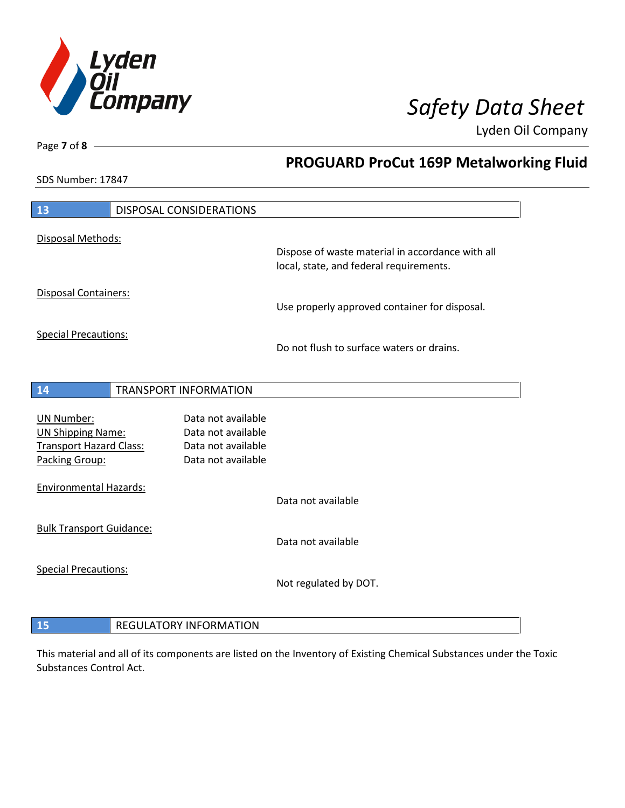

**PROGUARD ProCut 169P Metalworking Fluid**

Lyden Oil Company

SDS Number: 17847

Page **7** of **8**

 $\overline{\phantom{a}}$ 

| 13                                  |  | <b>DISPOSAL CONSIDERATIONS</b> |                                                  |
|-------------------------------------|--|--------------------------------|--------------------------------------------------|
|                                     |  |                                |                                                  |
| Disposal Methods:                   |  |                                |                                                  |
|                                     |  |                                | Dispose of waste material in accordance with all |
|                                     |  |                                | local, state, and federal requirements.          |
| <b>Disposal Containers:</b>         |  |                                |                                                  |
|                                     |  |                                | Use properly approved container for disposal.    |
|                                     |  |                                |                                                  |
| <b>Special Precautions:</b>         |  |                                |                                                  |
|                                     |  |                                | Do not flush to surface waters or drains.        |
|                                     |  |                                |                                                  |
| 14                                  |  | <b>TRANSPORT INFORMATION</b>   |                                                  |
|                                     |  |                                |                                                  |
| <b>UN Number:</b>                   |  | Data not available             |                                                  |
| <b>UN Shipping Name:</b>            |  | Data not available             |                                                  |
| <b>Transport Hazard Class:</b>      |  | Data not available             |                                                  |
| Packing Group:                      |  | Data not available             |                                                  |
| <b>Environmental Hazards:</b>       |  |                                |                                                  |
|                                     |  |                                | Data not available                               |
|                                     |  |                                |                                                  |
| <b>Bulk Transport Guidance:</b>     |  |                                |                                                  |
|                                     |  |                                | Data not available                               |
| <b>Special Precautions:</b>         |  |                                |                                                  |
|                                     |  |                                | Not regulated by DOT.                            |
|                                     |  |                                |                                                  |
|                                     |  |                                |                                                  |
| 15<br><b>REGULATORY INFORMATION</b> |  |                                |                                                  |

This material and all of its components are listed on the Inventory of Existing Chemical Substances under the Toxic Substances Control Act.